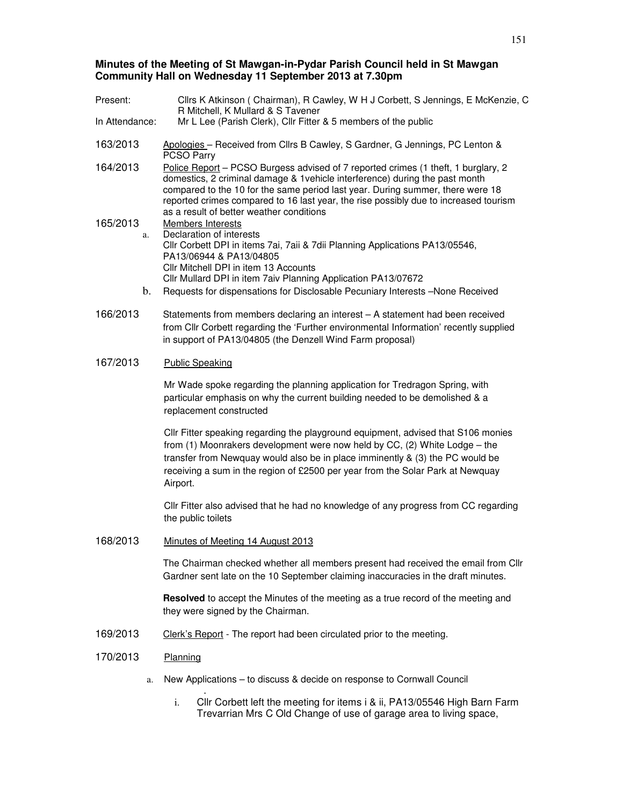# **Minutes of the Meeting of St Mawgan-in-Pydar Parish Council held in St Mawgan Community Hall on Wednesday 11 September 2013 at 7.30pm**

| Present:       |          | Cllrs K Atkinson (Chairman), R Cawley, W H J Corbett, S Jennings, E McKenzie, C<br>R Mitchell, K Mullard & S Tavener                                                                                                                                                                                                                                                                    |
|----------------|----------|-----------------------------------------------------------------------------------------------------------------------------------------------------------------------------------------------------------------------------------------------------------------------------------------------------------------------------------------------------------------------------------------|
| In Attendance: |          | Mr L Lee (Parish Clerk), Cllr Fitter & 5 members of the public                                                                                                                                                                                                                                                                                                                          |
| 163/2013       |          | Apologies - Received from Cllrs B Cawley, S Gardner, G Jennings, PC Lenton &<br><b>PCSO Parry</b>                                                                                                                                                                                                                                                                                       |
| 164/2013       |          | Police Report – PCSO Burgess advised of 7 reported crimes (1 theft, 1 burglary, 2<br>domestics, 2 criminal damage & 1 vehicle interference) during the past month<br>compared to the 10 for the same period last year. During summer, there were 18<br>reported crimes compared to 16 last year, the rise possibly due to increased tourism<br>as a result of better weather conditions |
| 165/2013       | a.<br>b. | <b>Members Interests</b><br>Declaration of interests<br>Cllr Corbett DPI in items 7ai, 7aii & 7dii Planning Applications PA13/05546,<br>PA13/06944 & PA13/04805<br>Cllr Mitchell DPI in item 13 Accounts<br>Cllr Mullard DPI in item 7aiv Planning Application PA13/07672<br>Requests for dispensations for Disclosable Pecuniary Interests - None Received                             |
|                |          |                                                                                                                                                                                                                                                                                                                                                                                         |
| 166/2013       |          | Statements from members declaring an interest - A statement had been received<br>from Cllr Corbett regarding the 'Further environmental Information' recently supplied<br>in support of PA13/04805 (the Denzell Wind Farm proposal)                                                                                                                                                     |
| 167/2013       |          | <b>Public Speaking</b>                                                                                                                                                                                                                                                                                                                                                                  |
|                |          | Mr Wade spoke regarding the planning application for Tredragon Spring, with<br>particular emphasis on why the current building needed to be demolished & a<br>replacement constructed                                                                                                                                                                                                   |
|                |          | Cllr Fitter speaking regarding the playground equipment, advised that S106 monies<br>from (1) Moonrakers development were now held by CC, (2) White Lodge - the<br>transfer from Newquay would also be in place imminently & (3) the PC would be<br>receiving a sum in the region of £2500 per year from the Solar Park at Newquay<br>Airport.                                          |
|                |          | Cllr Fitter also advised that he had no knowledge of any progress from CC regarding<br>the public toilets                                                                                                                                                                                                                                                                               |
| 168/2013       |          | Minutes of Meeting 14 August 2013                                                                                                                                                                                                                                                                                                                                                       |
|                |          | The Chairman checked whether all members present had received the email from Cllr<br>Gardner sent late on the 10 September claiming inaccuracies in the draft minutes.                                                                                                                                                                                                                  |
|                |          | <b>Resolved</b> to accept the Minutes of the meeting as a true record of the meeting and<br>they were signed by the Chairman.                                                                                                                                                                                                                                                           |
| 169/2013       |          | Clerk's Report - The report had been circulated prior to the meeting.                                                                                                                                                                                                                                                                                                                   |
| 170/2013       |          | Planning                                                                                                                                                                                                                                                                                                                                                                                |
|                | a.       | New Applications - to discuss & decide on response to Cornwall Council                                                                                                                                                                                                                                                                                                                  |
|                |          |                                                                                                                                                                                                                                                                                                                                                                                         |

i. Cllr Corbett left the meeting for items i & ii, PA13/05546 High Barn Farm Trevarrian Mrs C Old Change of use of garage area to living space,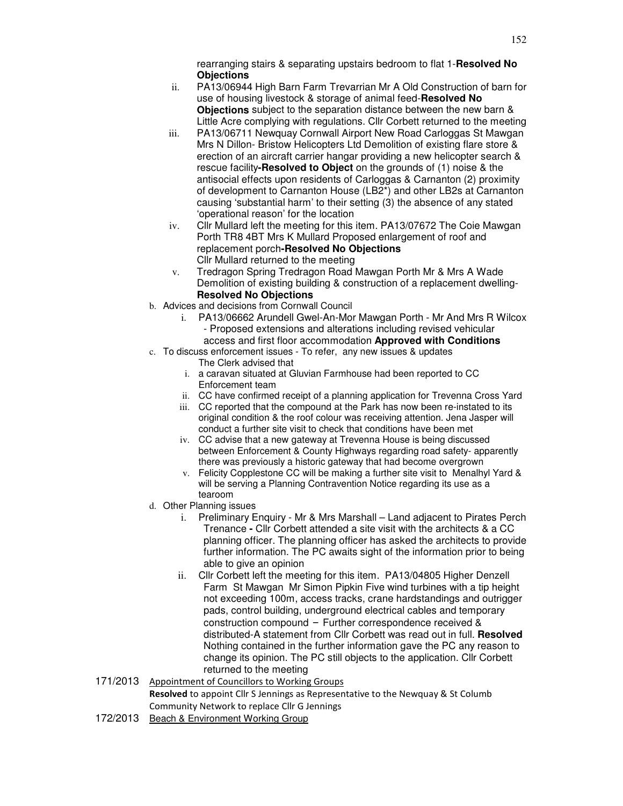rearranging stairs & separating upstairs bedroom to flat 1-**Resolved No Objections**

- ii. PA13/06944 High Barn Farm Trevarrian Mr A Old Construction of barn for use of housing livestock & storage of animal feed-**Resolved No Objections** subject to the separation distance between the new barn & Little Acre complying with regulations. Cllr Corbett returned to the meeting
- iii. PA13/06711 Newquay Cornwall Airport New Road Carloggas St Mawgan Mrs N Dillon- Bristow Helicopters Ltd Demolition of existing flare store & erection of an aircraft carrier hangar providing a new helicopter search & rescue facility**-Resolved to Object** on the grounds of (1) noise & the antisocial effects upon residents of Carloggas & Carnanton (2) proximity of development to Carnanton House (LB2\*) and other LB2s at Carnanton causing 'substantial harm' to their setting (3) the absence of any stated 'operational reason' for the location
- iv. Cllr Mullard left the meeting for this item. PA13/07672 The Coie Mawgan Porth TR8 4BT Mrs K Mullard Proposed enlargement of roof and replacement porch**-Resolved No Objections** Cllr Mullard returned to the meeting
- v. Tredragon Spring Tredragon Road Mawgan Porth Mr & Mrs A Wade Demolition of existing building & construction of a replacement dwelling-**Resolved No Objections**
- b. Advices and decisions from Cornwall Council
	- i. PA13/06662 Arundell Gwel-An-Mor Mawgan Porth Mr And Mrs R Wilcox - Proposed extensions and alterations including revised vehicular access and first floor accommodation **Approved with Conditions**
- c. To discuss enforcement issues To refer, any new issues & updates
	- The Clerk advised that
		- i. a caravan situated at Gluvian Farmhouse had been reported to CC Enforcement team
	- ii. CC have confirmed receipt of a planning application for Trevenna Cross Yard
	- iii. CC reported that the compound at the Park has now been re-instated to its original condition & the roof colour was receiving attention. Jena Jasper will conduct a further site visit to check that conditions have been met
	- iv. CC advise that a new gateway at Trevenna House is being discussed between Enforcement & County Highways regarding road safety- apparently there was previously a historic gateway that had become overgrown
	- v. Felicity Copplestone CC will be making a further site visit to Menalhyl Yard & will be serving a Planning Contravention Notice regarding its use as a tearoom
- d. Other Planning issues
	- i. Preliminary Enquiry Mr & Mrs Marshall Land adjacent to Pirates Perch Trenance **-** Cllr Corbett attended a site visit with the architects & a CC planning officer. The planning officer has asked the architects to provide further information. The PC awaits sight of the information prior to being able to give an opinion
	- ii. Cllr Corbett left the meeting for this item. PA13/04805 Higher Denzell Farm St Mawgan Mr Simon Pipkin Five wind turbines with a tip height not exceeding 100m, access tracks, crane hardstandings and outrigger pads, control building, underground electrical cables and temporary construction compound – Further correspondence received & distributed-A statement from Cllr Corbett was read out in full. **Resolved**  Nothing contained in the further information gave the PC any reason to change its opinion. The PC still objects to the application. Cllr Corbett returned to the meeting
- 171/2013 Appointment of Councillors to Working Groups Resolved to appoint Cllr S Jennings as Representative to the Newquay & St Columb Community Network to replace Cllr G Jennings
- 172/2013 Beach & Environment Working Group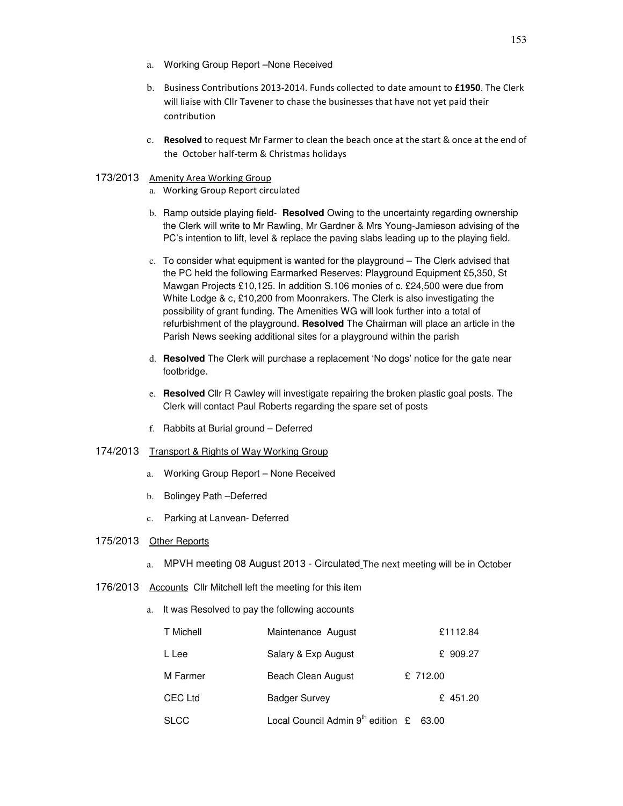- a. Working Group Report –None Received
- b. Business Contributions 2013-2014. Funds collected to date amount to £1950. The Clerk will liaise with Cllr Tavener to chase the businesses that have not yet paid their contribution
- c. Resolved to request Mr Farmer to clean the beach once at the start & once at the end of the October half-term & Christmas holidays

### 173/2013 Amenity Area Working Group

- a. Working Group Report circulated
- b. Ramp outside playing field- **Resolved** Owing to the uncertainty regarding ownership the Clerk will write to Mr Rawling, Mr Gardner & Mrs Young-Jamieson advising of the PC's intention to lift, level & replace the paving slabs leading up to the playing field.
- c. To consider what equipment is wanted for the playground The Clerk advised that the PC held the following Earmarked Reserves: Playground Equipment £5,350, St Mawgan Projects £10,125. In addition S.106 monies of c. £24,500 were due from White Lodge & c, £10,200 from Moonrakers. The Clerk is also investigating the possibility of grant funding. The Amenities WG will look further into a total of refurbishment of the playground. **Resolved** The Chairman will place an article in the Parish News seeking additional sites for a playground within the parish
- d. **Resolved** The Clerk will purchase a replacement 'No dogs' notice for the gate near footbridge.
- e. **Resolved** Cllr R Cawley will investigate repairing the broken plastic goal posts. The Clerk will contact Paul Roberts regarding the spare set of posts
- f. Rabbits at Burial ground Deferred
- 174/2013 Transport & Rights of Way Working Group
	- a. Working Group Report None Received
	- b. Bolingey Path –Deferred
	- c. Parking at Lanvean- Deferred

## 175/2013 Other Reports

- a. MPVH meeting 08 August 2013 Circulated The next meeting will be in October
- 176/2013 Accounts Cllr Mitchell left the meeting for this item
	- a. It was Resolved to pay the following accounts

| T Michell   | Maintenance August                     |          | £1112.84 |
|-------------|----------------------------------------|----------|----------|
| L Lee       | Salary & Exp August                    |          | £ 909.27 |
| M Farmer    | Beach Clean August                     | £ 712.00 |          |
| CEC Ltd     | <b>Badger Survey</b>                   |          | £ 451.20 |
| <b>SLCC</b> | Local Council Admin $9^{th}$ edition £ | 63.00    |          |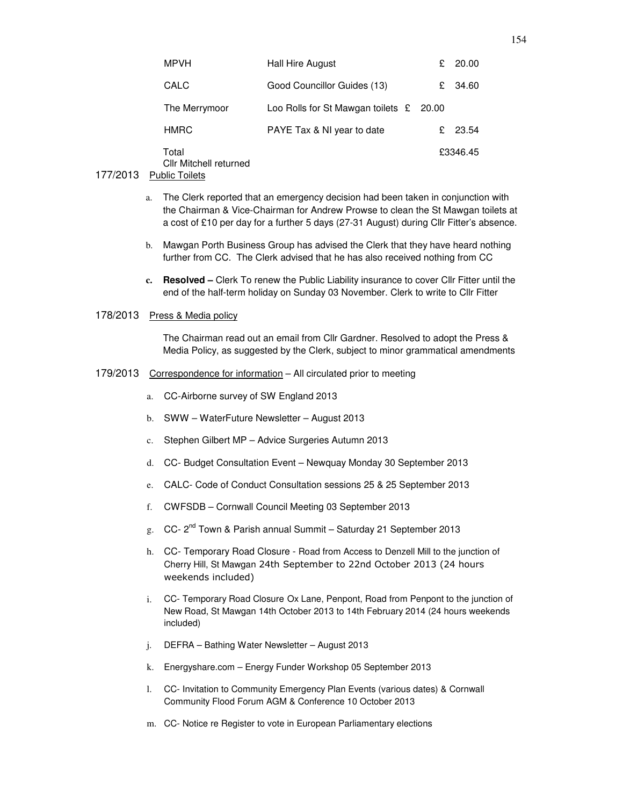| <b>MPVH</b>                     | <b>Hall Hire August</b>                          | £. | 20.00    |
|---------------------------------|--------------------------------------------------|----|----------|
| CALC                            | Good Councillor Guides (13)                      | £  | 34.60    |
| The Merrymoor                   | Loo Rolls for St Mawgan toilets $\epsilon$ 20.00 |    |          |
| <b>HMRC</b>                     | PAYE Tax & NI year to date                       | £. | 23.54    |
| Total<br>Cllr Mitchell returned |                                                  |    | £3346.45 |

#### 177/2013 Public Toilets

- a. The Clerk reported that an emergency decision had been taken in conjunction with the Chairman & Vice-Chairman for Andrew Prowse to clean the St Mawgan toilets at a cost of £10 per day for a further 5 days (27-31 August) during Cllr Fitter's absence.
- b. Mawgan Porth Business Group has advised the Clerk that they have heard nothing further from CC. The Clerk advised that he has also received nothing from CC
- **c. Resolved** Clerk To renew the Public Liability insurance to cover Cllr Fitter until the end of the half-term holiday on Sunday 03 November. Clerk to write to Cllr Fitter

#### 178/2013 Press & Media policy

The Chairman read out an email from Cllr Gardner. Resolved to adopt the Press & Media Policy, as suggested by the Clerk, subject to minor grammatical amendments

#### 179/2013 Correspondence for information – All circulated prior to meeting

- a. CC-Airborne survey of SW England 2013
- b. SWW WaterFuture Newsletter August 2013
- c. Stephen Gilbert MP Advice Surgeries Autumn 2013
- d. CC- Budget Consultation Event Newquay Monday 30 September 2013
- e. CALC- Code of Conduct Consultation sessions 25 & 25 September 2013
- f. CWFSDB Cornwall Council Meeting 03 September 2013
- g. CC- 2<sup>nd</sup> Town & Parish annual Summit Saturday 21 September 2013
- h. CC- Temporary Road Closure Road from Access to Denzell Mill to the junction of Cherry Hill, St Mawgan 24th September to 22nd October 2013 (24 hours weekends included)
- i. CC- Temporary Road Closure Ox Lane, Penpont, Road from Penpont to the junction of New Road, St Mawgan 14th October 2013 to 14th February 2014 (24 hours weekends included)
- j. DEFRA Bathing Water Newsletter August 2013
- k. Energyshare.com Energy Funder Workshop 05 September 2013
- l. CC- Invitation to Community Emergency Plan Events (various dates) & Cornwall Community Flood Forum AGM & Conference 10 October 2013
- m. CC- Notice re Register to vote in European Parliamentary elections